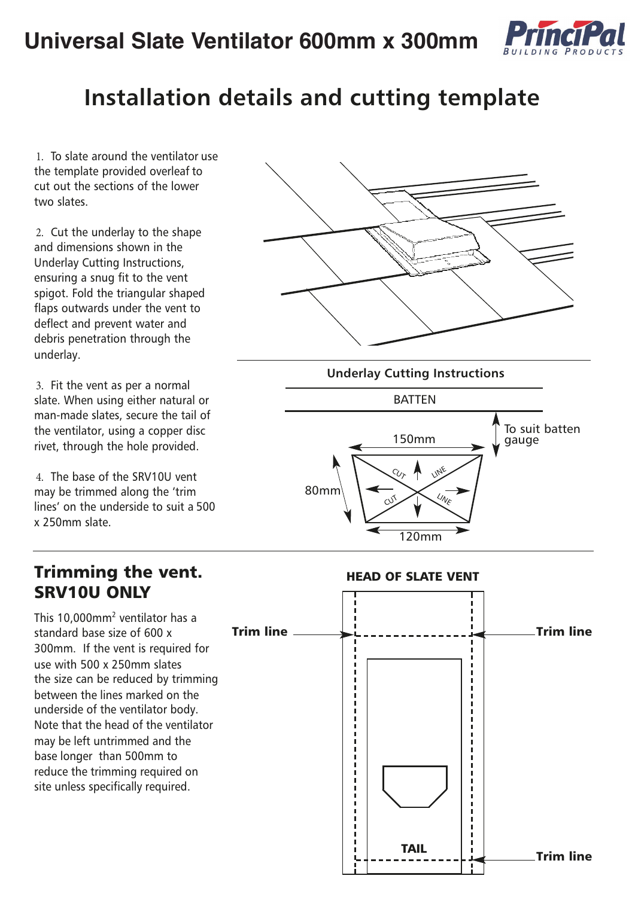

## **Installation details and cutting template**

1. To slate around the ventilator use the template provided overleaf to cut out the sections of the lower two slates.

2. Cut the underlay to the shape and dimensions shown in the Underlay Cutting Instructions, ensuring a snug fit to the vent spigot. Fold the triangular shaped flaps outwards under the vent to deflect and prevent water and debris penetration through the underlay.

3. Fit the vent as per a normal slate. When using either natural or man-made slates, secure the tail of the ventilator, using a copper disc rivet, through the hole provided.

4. The base of the SRV10U vent may be trimmed along the 'trim lines' on the underside to suit a 500 x 250mm slate.





## SRV10U ONLY This 10,000mm2 ventilator has a standard base size of 600 x 300mm. If the vent is required for use with 500 x 250mm slates the size can be reduced by trimming between the lines marked on the underside of the ventilator body. Note that the head of the ventilator may be left untrimmed and the base longer than 500mm to . reduce the trimming required on site unless specifically required.  $\overline{\mathsf{I}}$   $\overline{\mathsf{I}}$   $\overline{\mathsf{I}}$   $\overline{\mathsf{I}}$   $\overline{\mathsf{I}}$   $\overline{\mathsf{I}}$   $\overline{\mathsf{I}}$   $\overline{\mathsf{I}}$   $\overline{\mathsf{I}}$   $\overline{\mathsf{I}}$   $\overline{\mathsf{I}}$   $\overline{\mathsf{I}}$   $\overline{\mathsf{I}}$   $\overline{\mathsf{I}}$   $\overline{\mathsf{I}}$   $\overline{\mathsf{I}}$   $\overline{\mathsf{I}}$   $\overline{\mathsf{I}}$   $\overline{\$ HEAD OF SLATE VENT  $\begin{array}{c} \textsf{TAIL} \\ \textsf{Trim line} \end{array}$

## Trimming the vent.